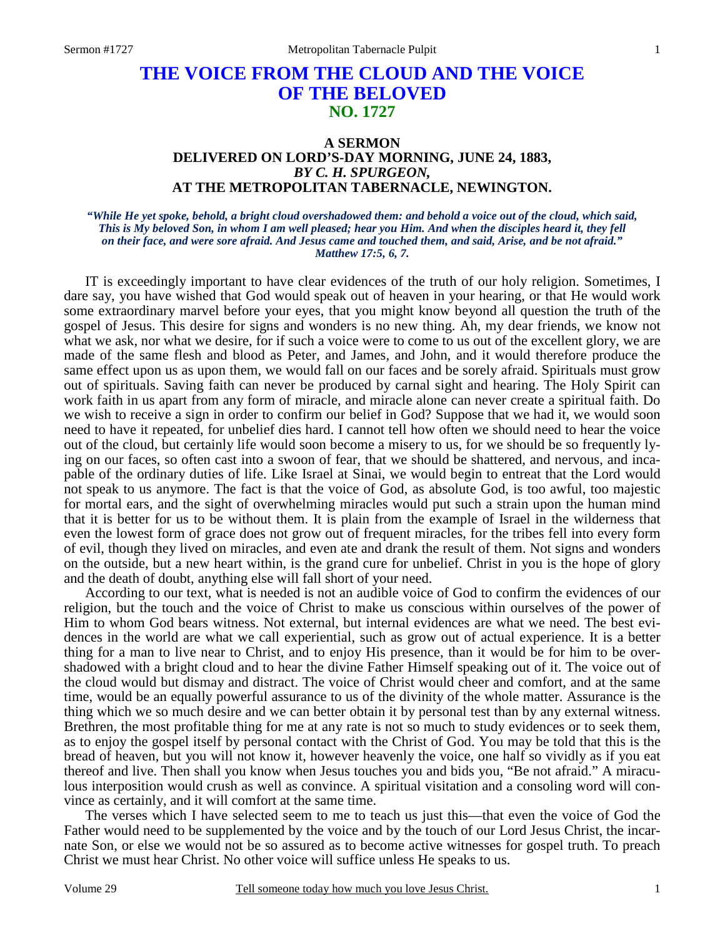# **THE VOICE FROM THE CLOUD AND THE VOICE OF THE BELOVED NO. 1727**

### **A SERMON DELIVERED ON LORD'S-DAY MORNING, JUNE 24, 1883,**  *BY C. H. SPURGEON,*  **AT THE METROPOLITAN TABERNACLE, NEWINGTON.**

#### *"While He yet spoke, behold, a bright cloud overshadowed them: and behold a voice out of the cloud, which said, This is My beloved Son, in whom I am well pleased; hear you Him. And when the disciples heard it, they fell on their face, and were sore afraid. And Jesus came and touched them, and said, Arise, and be not afraid." Matthew 17:5, 6, 7.*

IT is exceedingly important to have clear evidences of the truth of our holy religion. Sometimes, I dare say, you have wished that God would speak out of heaven in your hearing, or that He would work some extraordinary marvel before your eyes, that you might know beyond all question the truth of the gospel of Jesus. This desire for signs and wonders is no new thing. Ah, my dear friends, we know not what we ask, nor what we desire, for if such a voice were to come to us out of the excellent glory, we are made of the same flesh and blood as Peter, and James, and John, and it would therefore produce the same effect upon us as upon them, we would fall on our faces and be sorely afraid. Spirituals must grow out of spirituals. Saving faith can never be produced by carnal sight and hearing. The Holy Spirit can work faith in us apart from any form of miracle, and miracle alone can never create a spiritual faith. Do we wish to receive a sign in order to confirm our belief in God? Suppose that we had it, we would soon need to have it repeated, for unbelief dies hard. I cannot tell how often we should need to hear the voice out of the cloud, but certainly life would soon become a misery to us, for we should be so frequently lying on our faces, so often cast into a swoon of fear, that we should be shattered, and nervous, and incapable of the ordinary duties of life. Like Israel at Sinai, we would begin to entreat that the Lord would not speak to us anymore. The fact is that the voice of God, as absolute God, is too awful, too majestic for mortal ears, and the sight of overwhelming miracles would put such a strain upon the human mind that it is better for us to be without them. It is plain from the example of Israel in the wilderness that even the lowest form of grace does not grow out of frequent miracles, for the tribes fell into every form of evil, though they lived on miracles, and even ate and drank the result of them. Not signs and wonders on the outside, but a new heart within, is the grand cure for unbelief. Christ in you is the hope of glory and the death of doubt, anything else will fall short of your need.

 According to our text, what is needed is not an audible voice of God to confirm the evidences of our religion, but the touch and the voice of Christ to make us conscious within ourselves of the power of Him to whom God bears witness. Not external, but internal evidences are what we need. The best evidences in the world are what we call experiential, such as grow out of actual experience. It is a better thing for a man to live near to Christ, and to enjoy His presence, than it would be for him to be overshadowed with a bright cloud and to hear the divine Father Himself speaking out of it. The voice out of the cloud would but dismay and distract. The voice of Christ would cheer and comfort, and at the same time, would be an equally powerful assurance to us of the divinity of the whole matter. Assurance is the thing which we so much desire and we can better obtain it by personal test than by any external witness. Brethren, the most profitable thing for me at any rate is not so much to study evidences or to seek them, as to enjoy the gospel itself by personal contact with the Christ of God. You may be told that this is the bread of heaven, but you will not know it, however heavenly the voice, one half so vividly as if you eat thereof and live. Then shall you know when Jesus touches you and bids you, "Be not afraid." A miraculous interposition would crush as well as convince. A spiritual visitation and a consoling word will convince as certainly, and it will comfort at the same time.

 The verses which I have selected seem to me to teach us just this—that even the voice of God the Father would need to be supplemented by the voice and by the touch of our Lord Jesus Christ, the incarnate Son, or else we would not be so assured as to become active witnesses for gospel truth. To preach Christ we must hear Christ. No other voice will suffice unless He speaks to us.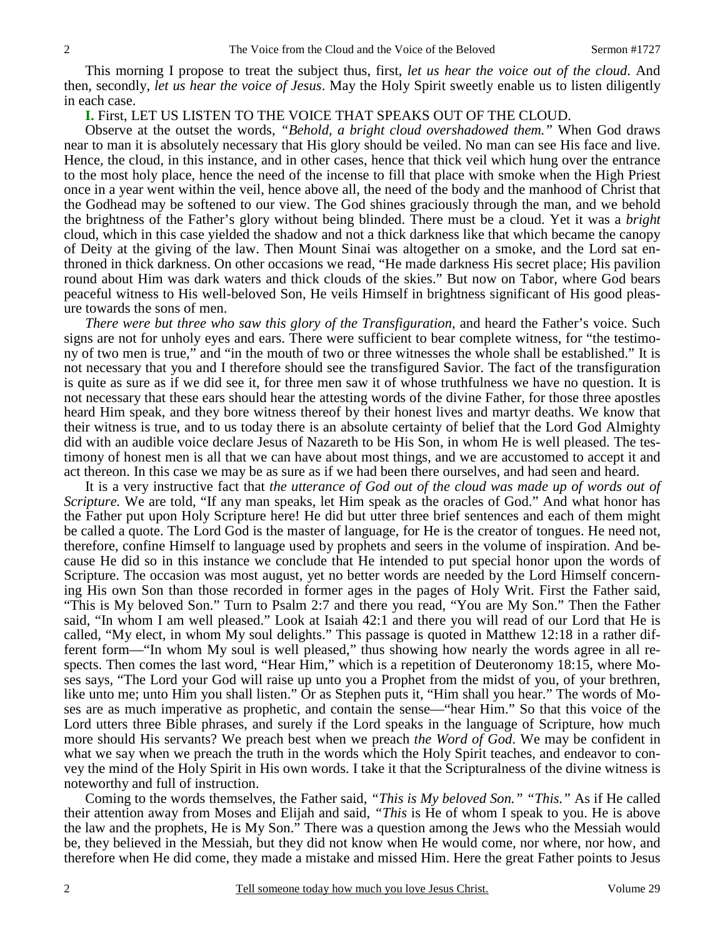This morning I propose to treat the subject thus, first, *let us hear the voice out of the cloud*. And then, secondly, *let us hear the voice of Jesus*. May the Holy Spirit sweetly enable us to listen diligently in each case.

#### **I.** First, LET US LISTEN TO THE VOICE THAT SPEAKS OUT OF THE CLOUD.

 Observe at the outset the words, *"Behold, a bright cloud overshadowed them."* When God draws near to man it is absolutely necessary that His glory should be veiled. No man can see His face and live. Hence, the cloud, in this instance, and in other cases, hence that thick veil which hung over the entrance to the most holy place, hence the need of the incense to fill that place with smoke when the High Priest once in a year went within the veil, hence above all, the need of the body and the manhood of Christ that the Godhead may be softened to our view. The God shines graciously through the man, and we behold the brightness of the Father's glory without being blinded. There must be a cloud. Yet it was a *bright* cloud, which in this case yielded the shadow and not a thick darkness like that which became the canopy of Deity at the giving of the law. Then Mount Sinai was altogether on a smoke, and the Lord sat enthroned in thick darkness. On other occasions we read, "He made darkness His secret place; His pavilion round about Him was dark waters and thick clouds of the skies." But now on Tabor, where God bears peaceful witness to His well-beloved Son, He veils Himself in brightness significant of His good pleasure towards the sons of men.

*There were but three who saw this glory of the Transfiguration,* and heard the Father's voice. Such signs are not for unholy eyes and ears. There were sufficient to bear complete witness, for "the testimony of two men is true," and "in the mouth of two or three witnesses the whole shall be established." It is not necessary that you and I therefore should see the transfigured Savior. The fact of the transfiguration is quite as sure as if we did see it, for three men saw it of whose truthfulness we have no question. It is not necessary that these ears should hear the attesting words of the divine Father, for those three apostles heard Him speak, and they bore witness thereof by their honest lives and martyr deaths. We know that their witness is true, and to us today there is an absolute certainty of belief that the Lord God Almighty did with an audible voice declare Jesus of Nazareth to be His Son, in whom He is well pleased. The testimony of honest men is all that we can have about most things, and we are accustomed to accept it and act thereon. In this case we may be as sure as if we had been there ourselves, and had seen and heard.

 It is a very instructive fact that *the utterance of God out of the cloud was made up of words out of Scripture.* We are told, "If any man speaks, let Him speak as the oracles of God." And what honor has the Father put upon Holy Scripture here! He did but utter three brief sentences and each of them might be called a quote. The Lord God is the master of language, for He is the creator of tongues. He need not, therefore, confine Himself to language used by prophets and seers in the volume of inspiration. And because He did so in this instance we conclude that He intended to put special honor upon the words of Scripture. The occasion was most august, yet no better words are needed by the Lord Himself concerning His own Son than those recorded in former ages in the pages of Holy Writ. First the Father said, "This is My beloved Son." Turn to Psalm 2:7 and there you read, "You are My Son." Then the Father said, "In whom I am well pleased." Look at Isaiah 42:1 and there you will read of our Lord that He is called, "My elect, in whom My soul delights." This passage is quoted in Matthew 12:18 in a rather different form—"In whom My soul is well pleased," thus showing how nearly the words agree in all respects. Then comes the last word, "Hear Him," which is a repetition of Deuteronomy 18:15, where Moses says, "The Lord your God will raise up unto you a Prophet from the midst of you, of your brethren, like unto me; unto Him you shall listen." Or as Stephen puts it, "Him shall you hear." The words of Moses are as much imperative as prophetic, and contain the sense—"hear Him." So that this voice of the Lord utters three Bible phrases, and surely if the Lord speaks in the language of Scripture, how much more should His servants? We preach best when we preach *the Word of God*. We may be confident in what we say when we preach the truth in the words which the Holy Spirit teaches, and endeavor to convey the mind of the Holy Spirit in His own words. I take it that the Scripturalness of the divine witness is noteworthy and full of instruction.

 Coming to the words themselves, the Father said, *"This is My beloved Son." "This."* As if He called their attention away from Moses and Elijah and said, *"This* is He of whom I speak to you. He is above the law and the prophets, He is My Son." There was a question among the Jews who the Messiah would be, they believed in the Messiah, but they did not know when He would come, nor where, nor how, and therefore when He did come, they made a mistake and missed Him. Here the great Father points to Jesus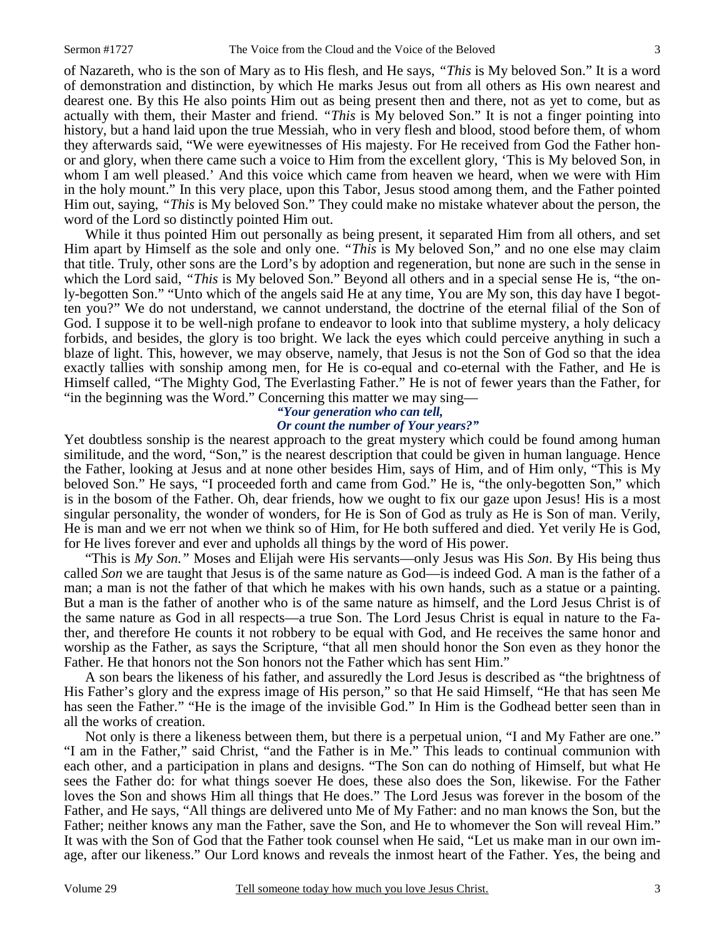of Nazareth, who is the son of Mary as to His flesh, and He says, *"This* is My beloved Son." It is a word of demonstration and distinction, by which He marks Jesus out from all others as His own nearest and dearest one. By this He also points Him out as being present then and there, not as yet to come, but as actually with them, their Master and friend. *"This* is My beloved Son." It is not a finger pointing into history, but a hand laid upon the true Messiah, who in very flesh and blood, stood before them, of whom they afterwards said, "We were eyewitnesses of His majesty. For He received from God the Father honor and glory, when there came such a voice to Him from the excellent glory, 'This is My beloved Son, in whom I am well pleased.' And this voice which came from heaven we heard, when we were with Him in the holy mount." In this very place, upon this Tabor, Jesus stood among them, and the Father pointed Him out, saying, *"This* is My beloved Son." They could make no mistake whatever about the person, the word of the Lord so distinctly pointed Him out.

 While it thus pointed Him out personally as being present, it separated Him from all others, and set Him apart by Himself as the sole and only one. *"This* is My beloved Son," and no one else may claim that title. Truly, other sons are the Lord's by adoption and regeneration, but none are such in the sense in which the Lord said, *"This* is My beloved Son." Beyond all others and in a special sense He is, "the only-begotten Son." "Unto which of the angels said He at any time, You are My son, this day have I begotten you?" We do not understand, we cannot understand, the doctrine of the eternal filial of the Son of God. I suppose it to be well-nigh profane to endeavor to look into that sublime mystery, a holy delicacy forbids, and besides, the glory is too bright. We lack the eyes which could perceive anything in such a blaze of light. This, however, we may observe, namely, that Jesus is not the Son of God so that the idea exactly tallies with sonship among men, for He is co-equal and co-eternal with the Father, and He is Himself called, "The Mighty God, The Everlasting Father." He is not of fewer years than the Father, for "in the beginning was the Word." Concerning this matter we may sing—

## *"Your generation who can tell, Or count the number of Your years?"*

Yet doubtless sonship is the nearest approach to the great mystery which could be found among human similitude, and the word, "Son," is the nearest description that could be given in human language. Hence the Father, looking at Jesus and at none other besides Him, says of Him, and of Him only, "This is My beloved Son." He says, "I proceeded forth and came from God." He is, "the only-begotten Son," which is in the bosom of the Father. Oh, dear friends, how we ought to fix our gaze upon Jesus! His is a most singular personality, the wonder of wonders, for He is Son of God as truly as He is Son of man. Verily, He is man and we err not when we think so of Him, for He both suffered and died. Yet verily He is God, for He lives forever and ever and upholds all things by the word of His power.

 "This is *My Son."* Moses and Elijah were His servants—only Jesus was His *Son*. By His being thus called *Son* we are taught that Jesus is of the same nature as God—is indeed God. A man is the father of a man; a man is not the father of that which he makes with his own hands, such as a statue or a painting. But a man is the father of another who is of the same nature as himself, and the Lord Jesus Christ is of the same nature as God in all respects—a true Son. The Lord Jesus Christ is equal in nature to the Father, and therefore He counts it not robbery to be equal with God, and He receives the same honor and worship as the Father, as says the Scripture, "that all men should honor the Son even as they honor the Father. He that honors not the Son honors not the Father which has sent Him."

 A son bears the likeness of his father, and assuredly the Lord Jesus is described as "the brightness of His Father's glory and the express image of His person," so that He said Himself, "He that has seen Me has seen the Father." "He is the image of the invisible God." In Him is the Godhead better seen than in all the works of creation.

 Not only is there a likeness between them, but there is a perpetual union, "I and My Father are one." "I am in the Father," said Christ, "and the Father is in Me." This leads to continual communion with each other, and a participation in plans and designs. "The Son can do nothing of Himself, but what He sees the Father do: for what things soever He does, these also does the Son, likewise. For the Father loves the Son and shows Him all things that He does." The Lord Jesus was forever in the bosom of the Father, and He says, "All things are delivered unto Me of My Father: and no man knows the Son, but the Father; neither knows any man the Father, save the Son, and He to whomever the Son will reveal Him." It was with the Son of God that the Father took counsel when He said, "Let us make man in our own image, after our likeness." Our Lord knows and reveals the inmost heart of the Father. Yes, the being and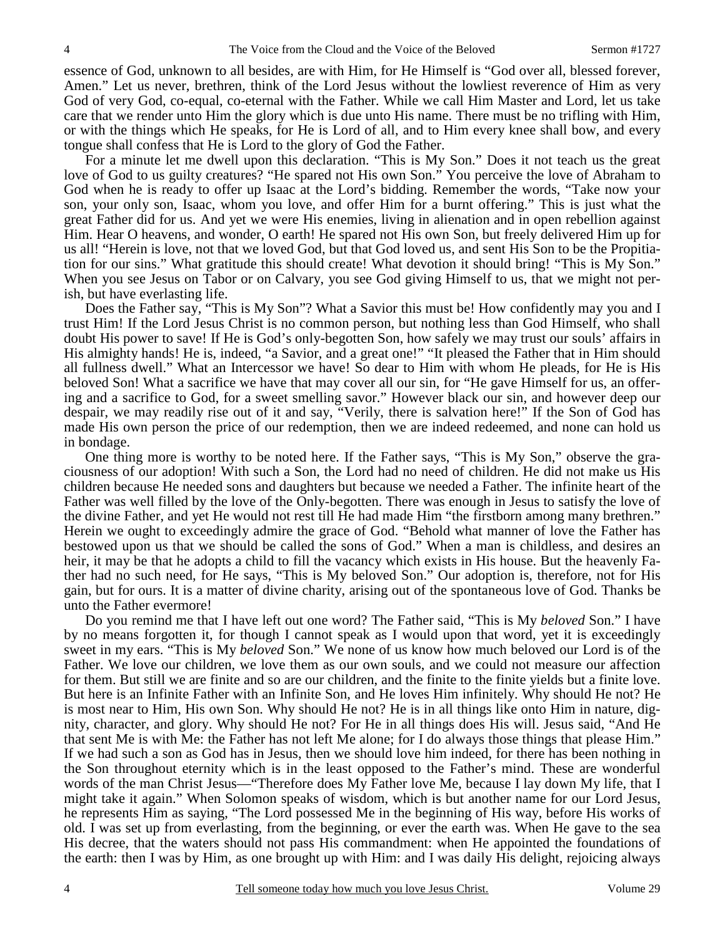essence of God, unknown to all besides, are with Him, for He Himself is "God over all, blessed forever, Amen." Let us never, brethren, think of the Lord Jesus without the lowliest reverence of Him as very God of very God, co-equal, co-eternal with the Father. While we call Him Master and Lord, let us take care that we render unto Him the glory which is due unto His name. There must be no trifling with Him, or with the things which He speaks, for He is Lord of all, and to Him every knee shall bow, and every tongue shall confess that He is Lord to the glory of God the Father.

 For a minute let me dwell upon this declaration. "This is My Son." Does it not teach us the great love of God to us guilty creatures? "He spared not His own Son." You perceive the love of Abraham to God when he is ready to offer up Isaac at the Lord's bidding. Remember the words, "Take now your son, your only son, Isaac, whom you love, and offer Him for a burnt offering." This is just what the great Father did for us. And yet we were His enemies, living in alienation and in open rebellion against Him. Hear O heavens, and wonder, O earth! He spared not His own Son, but freely delivered Him up for us all! "Herein is love, not that we loved God, but that God loved us, and sent His Son to be the Propitiation for our sins." What gratitude this should create! What devotion it should bring! "This is My Son." When you see Jesus on Tabor or on Calvary, you see God giving Himself to us, that we might not perish, but have everlasting life.

 Does the Father say, "This is My Son"? What a Savior this must be! How confidently may you and I trust Him! If the Lord Jesus Christ is no common person, but nothing less than God Himself, who shall doubt His power to save! If He is God's only-begotten Son, how safely we may trust our souls' affairs in His almighty hands! He is, indeed, "a Savior, and a great one!" "It pleased the Father that in Him should all fullness dwell." What an Intercessor we have! So dear to Him with whom He pleads, for He is His beloved Son! What a sacrifice we have that may cover all our sin, for "He gave Himself for us, an offering and a sacrifice to God, for a sweet smelling savor." However black our sin, and however deep our despair, we may readily rise out of it and say, "Verily, there is salvation here!" If the Son of God has made His own person the price of our redemption, then we are indeed redeemed, and none can hold us in bondage.

 One thing more is worthy to be noted here. If the Father says, "This is My Son," observe the graciousness of our adoption! With such a Son, the Lord had no need of children. He did not make us His children because He needed sons and daughters but because we needed a Father. The infinite heart of the Father was well filled by the love of the Only-begotten. There was enough in Jesus to satisfy the love of the divine Father, and yet He would not rest till He had made Him "the firstborn among many brethren." Herein we ought to exceedingly admire the grace of God. "Behold what manner of love the Father has bestowed upon us that we should be called the sons of God." When a man is childless, and desires an heir, it may be that he adopts a child to fill the vacancy which exists in His house. But the heavenly Father had no such need, for He says, "This is My beloved Son." Our adoption is, therefore, not for His gain, but for ours. It is a matter of divine charity, arising out of the spontaneous love of God. Thanks be unto the Father evermore!

 Do you remind me that I have left out one word? The Father said, "This is My *beloved* Son." I have by no means forgotten it, for though I cannot speak as I would upon that word, yet it is exceedingly sweet in my ears. "This is My *beloved* Son." We none of us know how much beloved our Lord is of the Father. We love our children, we love them as our own souls, and we could not measure our affection for them. But still we are finite and so are our children, and the finite to the finite yields but a finite love. But here is an Infinite Father with an Infinite Son, and He loves Him infinitely. Why should He not? He is most near to Him, His own Son. Why should He not? He is in all things like onto Him in nature, dignity, character, and glory. Why should He not? For He in all things does His will. Jesus said, "And He that sent Me is with Me: the Father has not left Me alone; for I do always those things that please Him." If we had such a son as God has in Jesus, then we should love him indeed, for there has been nothing in the Son throughout eternity which is in the least opposed to the Father's mind. These are wonderful words of the man Christ Jesus—"Therefore does My Father love Me, because I lay down My life, that I might take it again." When Solomon speaks of wisdom, which is but another name for our Lord Jesus, he represents Him as saying, "The Lord possessed Me in the beginning of His way, before His works of old. I was set up from everlasting, from the beginning, or ever the earth was. When He gave to the sea His decree, that the waters should not pass His commandment: when He appointed the foundations of the earth: then I was by Him, as one brought up with Him: and I was daily His delight, rejoicing always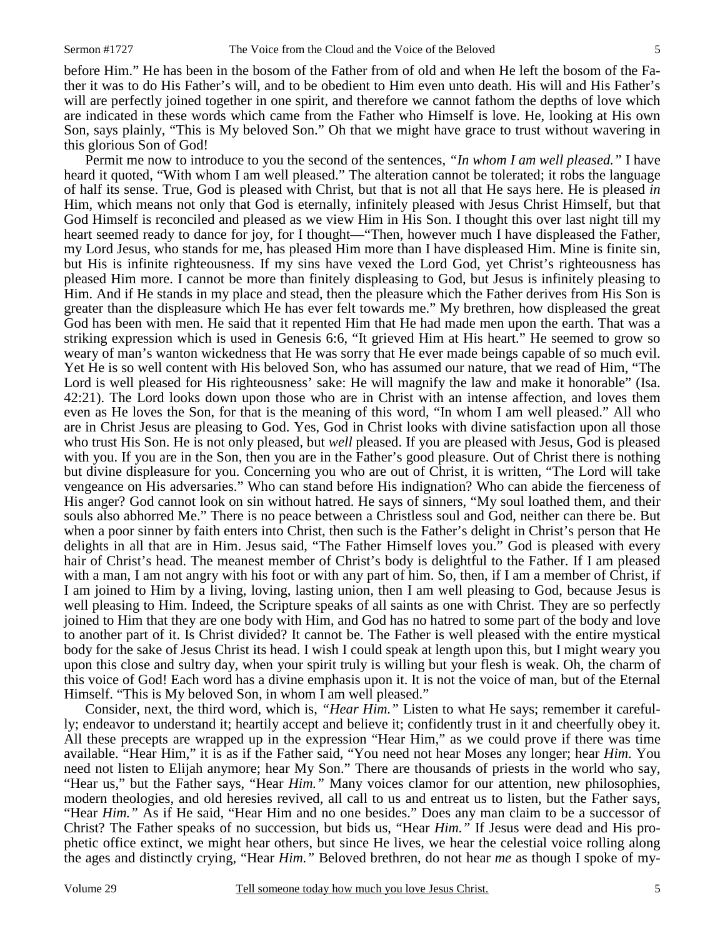before Him." He has been in the bosom of the Father from of old and when He left the bosom of the Father it was to do His Father's will, and to be obedient to Him even unto death. His will and His Father's will are perfectly joined together in one spirit, and therefore we cannot fathom the depths of love which are indicated in these words which came from the Father who Himself is love. He, looking at His own Son, says plainly, "This is My beloved Son." Oh that we might have grace to trust without wavering in this glorious Son of God!

 Permit me now to introduce to you the second of the sentences, *"In whom I am well pleased."* I have heard it quoted, "With whom I am well pleased." The alteration cannot be tolerated; it robs the language of half its sense. True, God is pleased with Christ, but that is not all that He says here. He is pleased *in* Him, which means not only that God is eternally, infinitely pleased with Jesus Christ Himself, but that God Himself is reconciled and pleased as we view Him in His Son. I thought this over last night till my heart seemed ready to dance for joy, for I thought—"Then, however much I have displeased the Father, my Lord Jesus, who stands for me, has pleased Him more than I have displeased Him. Mine is finite sin, but His is infinite righteousness. If my sins have vexed the Lord God, yet Christ's righteousness has pleased Him more. I cannot be more than finitely displeasing to God, but Jesus is infinitely pleasing to Him. And if He stands in my place and stead, then the pleasure which the Father derives from His Son is greater than the displeasure which He has ever felt towards me." My brethren, how displeased the great God has been with men. He said that it repented Him that He had made men upon the earth. That was a striking expression which is used in Genesis 6:6, "It grieved Him at His heart." He seemed to grow so weary of man's wanton wickedness that He was sorry that He ever made beings capable of so much evil. Yet He is so well content with His beloved Son, who has assumed our nature, that we read of Him, "The Lord is well pleased for His righteousness' sake: He will magnify the law and make it honorable" (Isa. 42:21). The Lord looks down upon those who are in Christ with an intense affection, and loves them even as He loves the Son, for that is the meaning of this word, "In whom I am well pleased." All who are in Christ Jesus are pleasing to God. Yes, God in Christ looks with divine satisfaction upon all those who trust His Son. He is not only pleased, but *well* pleased. If you are pleased with Jesus, God is pleased with you. If you are in the Son, then you are in the Father's good pleasure. Out of Christ there is nothing but divine displeasure for you. Concerning you who are out of Christ, it is written, "The Lord will take vengeance on His adversaries." Who can stand before His indignation? Who can abide the fierceness of His anger? God cannot look on sin without hatred. He says of sinners, "My soul loathed them, and their souls also abhorred Me." There is no peace between a Christless soul and God, neither can there be. But when a poor sinner by faith enters into Christ, then such is the Father's delight in Christ's person that He delights in all that are in Him. Jesus said, "The Father Himself loves you." God is pleased with every hair of Christ's head. The meanest member of Christ's body is delightful to the Father. If I am pleased with a man, I am not angry with his foot or with any part of him. So, then, if I am a member of Christ, if I am joined to Him by a living, loving, lasting union, then I am well pleasing to God, because Jesus is well pleasing to Him. Indeed, the Scripture speaks of all saints as one with Christ*.* They are so perfectly joined to Him that they are one body with Him, and God has no hatred to some part of the body and love to another part of it. Is Christ divided? It cannot be. The Father is well pleased with the entire mystical body for the sake of Jesus Christ its head. I wish I could speak at length upon this, but I might weary you upon this close and sultry day, when your spirit truly is willing but your flesh is weak. Oh, the charm of this voice of God! Each word has a divine emphasis upon it. It is not the voice of man, but of the Eternal Himself. "This is My beloved Son, in whom I am well pleased."

 Consider, next, the third word, which is, *"Hear Him."* Listen to what He says; remember it carefully; endeavor to understand it; heartily accept and believe it; confidently trust in it and cheerfully obey it. All these precepts are wrapped up in the expression "Hear Him," as we could prove if there was time available. "Hear Him," it is as if the Father said, "You need not hear Moses any longer; hear *Him*. You need not listen to Elijah anymore; hear My Son." There are thousands of priests in the world who say, "Hear us," but the Father says, "Hear *Him."* Many voices clamor for our attention, new philosophies, modern theologies, and old heresies revived, all call to us and entreat us to listen, but the Father says, "Hear *Him."* As if He said, "Hear Him and no one besides." Does any man claim to be a successor of Christ? The Father speaks of no succession, but bids us, "Hear *Him."* If Jesus were dead and His prophetic office extinct, we might hear others, but since He lives, we hear the celestial voice rolling along the ages and distinctly crying, "Hear *Him."* Beloved brethren, do not hear *me* as though I spoke of my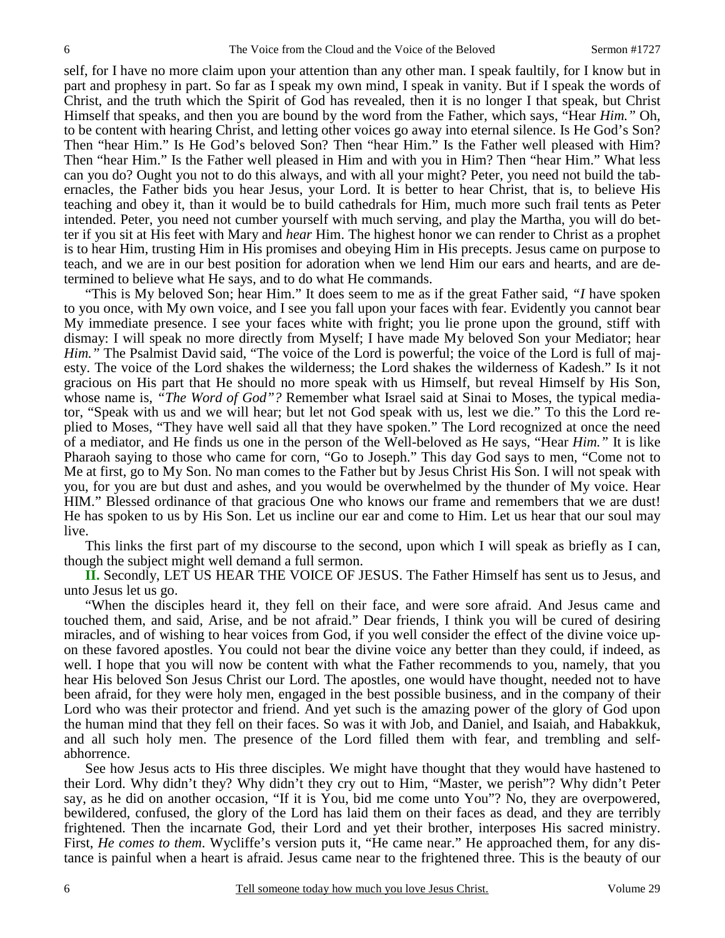self, for I have no more claim upon your attention than any other man. I speak faultily, for I know but in part and prophesy in part. So far as I speak my own mind, I speak in vanity. But if I speak the words of Christ, and the truth which the Spirit of God has revealed, then it is no longer I that speak, but Christ Himself that speaks, and then you are bound by the word from the Father, which says, "Hear *Him."* Oh, to be content with hearing Christ, and letting other voices go away into eternal silence. Is He God's Son? Then "hear Him." Is He God's beloved Son? Then "hear Him." Is the Father well pleased with Him? Then "hear Him." Is the Father well pleased in Him and with you in Him? Then "hear Him." What less can you do? Ought you not to do this always, and with all your might? Peter, you need not build the tabernacles, the Father bids you hear Jesus, your Lord. It is better to hear Christ, that is, to believe His teaching and obey it, than it would be to build cathedrals for Him, much more such frail tents as Peter intended. Peter, you need not cumber yourself with much serving, and play the Martha, you will do better if you sit at His feet with Mary and *hear* Him. The highest honor we can render to Christ as a prophet is to hear Him, trusting Him in His promises and obeying Him in His precepts. Jesus came on purpose to teach, and we are in our best position for adoration when we lend Him our ears and hearts, and are determined to believe what He says, and to do what He commands.

 "This is My beloved Son; hear Him." It does seem to me as if the great Father said, *"I* have spoken to you once, with My own voice, and I see you fall upon your faces with fear. Evidently you cannot bear My immediate presence. I see your faces white with fright; you lie prone upon the ground, stiff with dismay: I will speak no more directly from Myself; I have made My beloved Son your Mediator; hear *Him.*" The Psalmist David said, "The voice of the Lord is powerful; the voice of the Lord is full of majesty. The voice of the Lord shakes the wilderness; the Lord shakes the wilderness of Kadesh." Is it not gracious on His part that He should no more speak with us Himself, but reveal Himself by His Son, whose name is, *"The Word of God"?* Remember what Israel said at Sinai to Moses, the typical mediator, "Speak with us and we will hear; but let not God speak with us, lest we die." To this the Lord replied to Moses, "They have well said all that they have spoken." The Lord recognized at once the need of a mediator, and He finds us one in the person of the Well-beloved as He says, "Hear *Him."* It is like Pharaoh saying to those who came for corn, "Go to Joseph." This day God says to men, "Come not to Me at first, go to My Son. No man comes to the Father but by Jesus Christ His Son. I will not speak with you, for you are but dust and ashes, and you would be overwhelmed by the thunder of My voice. Hear HIM." Blessed ordinance of that gracious One who knows our frame and remembers that we are dust! He has spoken to us by His Son. Let us incline our ear and come to Him. Let us hear that our soul may live.

 This links the first part of my discourse to the second, upon which I will speak as briefly as I can, though the subject might well demand a full sermon.

**II.** Secondly, LET US HEAR THE VOICE OF JESUS. The Father Himself has sent us to Jesus, and unto Jesus let us go.

 "When the disciples heard it, they fell on their face, and were sore afraid. And Jesus came and touched them, and said, Arise, and be not afraid." Dear friends, I think you will be cured of desiring miracles, and of wishing to hear voices from God, if you well consider the effect of the divine voice upon these favored apostles. You could not bear the divine voice any better than they could, if indeed, as well. I hope that you will now be content with what the Father recommends to you, namely, that you hear His beloved Son Jesus Christ our Lord. The apostles, one would have thought, needed not to have been afraid, for they were holy men, engaged in the best possible business, and in the company of their Lord who was their protector and friend. And yet such is the amazing power of the glory of God upon the human mind that they fell on their faces. So was it with Job, and Daniel, and Isaiah, and Habakkuk, and all such holy men. The presence of the Lord filled them with fear, and trembling and selfabhorrence.

 See how Jesus acts to His three disciples. We might have thought that they would have hastened to their Lord. Why didn't they? Why didn't they cry out to Him, "Master, we perish"? Why didn't Peter say, as he did on another occasion, "If it is You, bid me come unto You"? No, they are overpowered, bewildered, confused, the glory of the Lord has laid them on their faces as dead, and they are terribly frightened. Then the incarnate God, their Lord and yet their brother, interposes His sacred ministry. First, *He comes to them*. Wycliffe's version puts it, "He came near." He approached them, for any distance is painful when a heart is afraid. Jesus came near to the frightened three. This is the beauty of our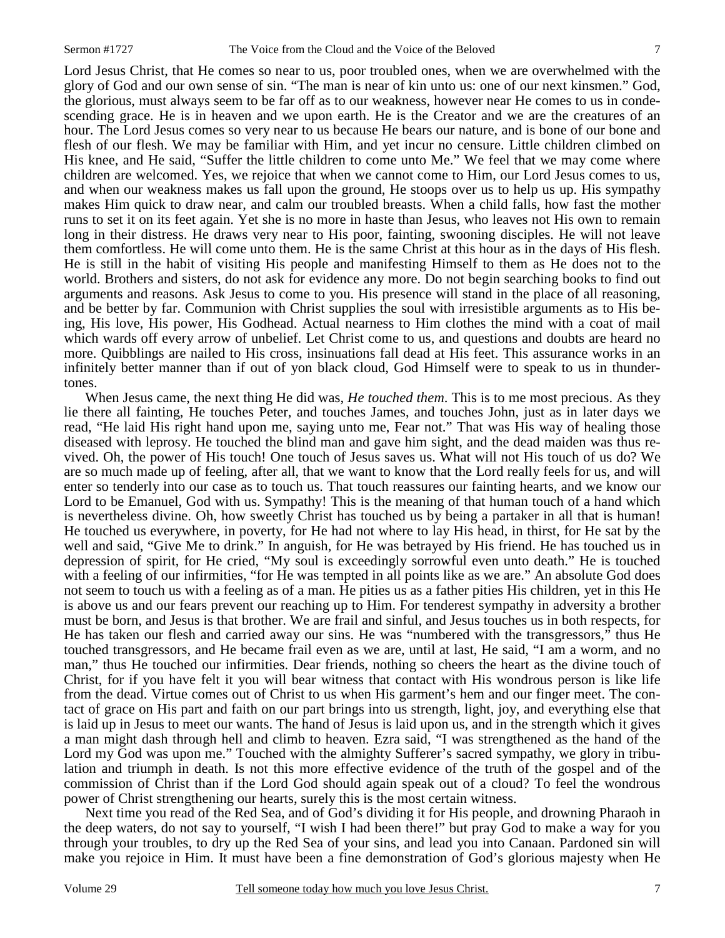Lord Jesus Christ, that He comes so near to us, poor troubled ones, when we are overwhelmed with the glory of God and our own sense of sin. "The man is near of kin unto us: one of our next kinsmen." God, the glorious, must always seem to be far off as to our weakness, however near He comes to us in condescending grace. He is in heaven and we upon earth. He is the Creator and we are the creatures of an hour. The Lord Jesus comes so very near to us because He bears our nature, and is bone of our bone and flesh of our flesh. We may be familiar with Him, and yet incur no censure. Little children climbed on His knee, and He said, "Suffer the little children to come unto Me." We feel that we may come where children are welcomed. Yes, we rejoice that when we cannot come to Him, our Lord Jesus comes to us, and when our weakness makes us fall upon the ground, He stoops over us to help us up. His sympathy makes Him quick to draw near, and calm our troubled breasts. When a child falls, how fast the mother runs to set it on its feet again. Yet she is no more in haste than Jesus, who leaves not His own to remain long in their distress. He draws very near to His poor, fainting, swooning disciples. He will not leave them comfortless. He will come unto them. He is the same Christ at this hour as in the days of His flesh. He is still in the habit of visiting His people and manifesting Himself to them as He does not to the world. Brothers and sisters, do not ask for evidence any more. Do not begin searching books to find out arguments and reasons. Ask Jesus to come to you. His presence will stand in the place of all reasoning, and be better by far. Communion with Christ supplies the soul with irresistible arguments as to His being, His love, His power, His Godhead. Actual nearness to Him clothes the mind with a coat of mail which wards off every arrow of unbelief. Let Christ come to us, and questions and doubts are heard no more. Quibblings are nailed to His cross, insinuations fall dead at His feet. This assurance works in an infinitely better manner than if out of yon black cloud, God Himself were to speak to us in thundertones.

 When Jesus came, the next thing He did was, *He touched them*. This is to me most precious. As they lie there all fainting, He touches Peter, and touches James, and touches John, just as in later days we read, "He laid His right hand upon me, saying unto me, Fear not." That was His way of healing those diseased with leprosy. He touched the blind man and gave him sight, and the dead maiden was thus revived. Oh, the power of His touch! One touch of Jesus saves us. What will not His touch of us do? We are so much made up of feeling, after all, that we want to know that the Lord really feels for us, and will enter so tenderly into our case as to touch us. That touch reassures our fainting hearts, and we know our Lord to be Emanuel, God with us. Sympathy! This is the meaning of that human touch of a hand which is nevertheless divine. Oh, how sweetly Christ has touched us by being a partaker in all that is human! He touched us everywhere, in poverty, for He had not where to lay His head, in thirst, for He sat by the well and said, "Give Me to drink." In anguish, for He was betrayed by His friend. He has touched us in depression of spirit, for He cried, "My soul is exceedingly sorrowful even unto death." He is touched with a feeling of our infirmities, "for He was tempted in all points like as we are." An absolute God does not seem to touch us with a feeling as of a man. He pities us as a father pities His children, yet in this He is above us and our fears prevent our reaching up to Him. For tenderest sympathy in adversity a brother must be born, and Jesus is that brother. We are frail and sinful, and Jesus touches us in both respects, for He has taken our flesh and carried away our sins. He was "numbered with the transgressors," thus He touched transgressors, and He became frail even as we are, until at last, He said, "I am a worm, and no man," thus He touched our infirmities. Dear friends, nothing so cheers the heart as the divine touch of Christ, for if you have felt it you will bear witness that contact with His wondrous person is like life from the dead. Virtue comes out of Christ to us when His garment's hem and our finger meet. The contact of grace on His part and faith on our part brings into us strength, light, joy, and everything else that is laid up in Jesus to meet our wants. The hand of Jesus is laid upon us, and in the strength which it gives a man might dash through hell and climb to heaven. Ezra said, "I was strengthened as the hand of the Lord my God was upon me." Touched with the almighty Sufferer's sacred sympathy, we glory in tribulation and triumph in death. Is not this more effective evidence of the truth of the gospel and of the commission of Christ than if the Lord God should again speak out of a cloud? To feel the wondrous power of Christ strengthening our hearts, surely this is the most certain witness.

 Next time you read of the Red Sea, and of God's dividing it for His people, and drowning Pharaoh in the deep waters, do not say to yourself, "I wish I had been there!" but pray God to make a way for you through your troubles, to dry up the Red Sea of your sins, and lead you into Canaan. Pardoned sin will make you rejoice in Him. It must have been a fine demonstration of God's glorious majesty when He